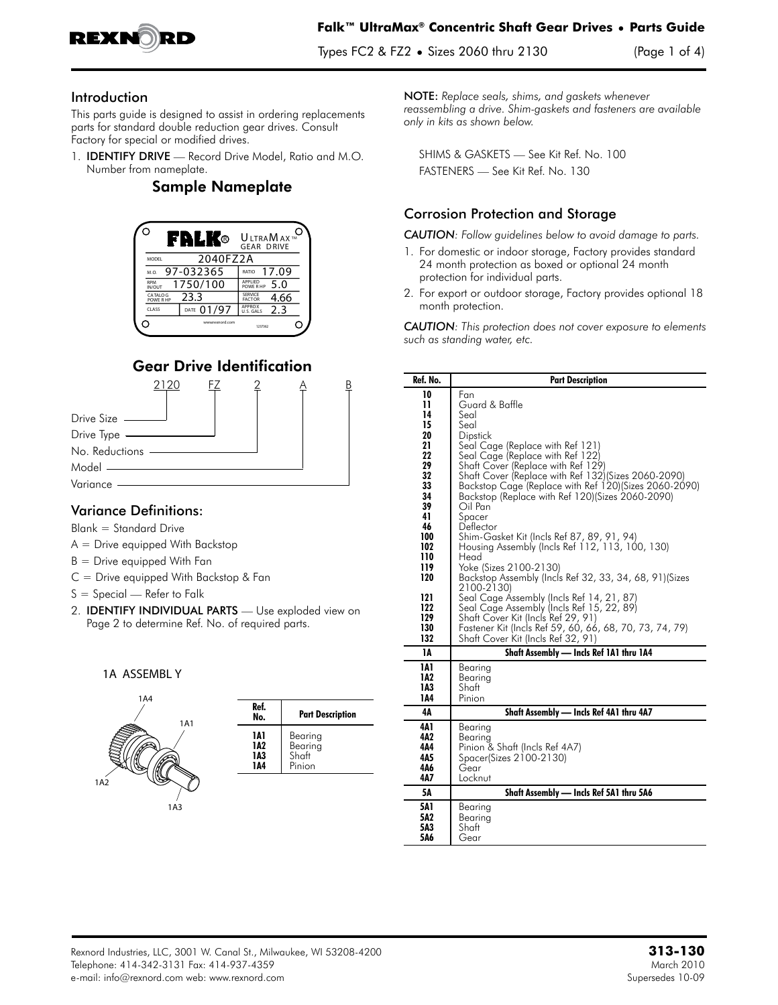

### Introduction

This parts guide is designed to assist in ordering replacements parts for standard double reduction gear drives. Consult Factory for special or modified drives.

1. IDENTIFY DRIVE — Record Drive Model, Ratio and M.O. Number from nameplate.

# Sample Nameplate



# Gear Drive Identification



## Variance Definitions:

Blank = Standard Drive

- A = Drive equipped With Backstop
- B = Drive equipped With Fan
- C = Drive equipped With Backstop & Fan
- S = Special Refer to Falk
- 2. IDENTIFY INDIVIDUAL PARTS Use exploded view on Page 2 to determine Ref. No. of required parts.

#### 1A ASSEMBL Y



| Ref.<br>No. | <b>Part Description</b> |
|-------------|-------------------------|
| 1Δ1         | Bearing                 |
| 1A2         | Bearing                 |
| 1A3         | Shaft                   |
| 144         | Pinion                  |

NOTE: *Replace seals, shims, and gaskets whenever reassembling a drive. Shim-gaskets and fasteners are available only in kits as shown below.*

SHIMS & GASKETS — See Kit Ref. No. 100 FASTENERS — See Kit Ref. No. 130

## Corrosion Protection and Storage

*CAUTION: Follow guidelines below to avoid damage to parts.*

- 1. For domestic or indoor storage, Factory provides standard 24 month protection as boxed or optional 24 month protection for individual parts.
- 2. For export or outdoor storage, Factory provides optional 18 month protection.

*CAUTION: This protection does not cover exposure to elements such as standing water, etc.*

| Ref. No.                                                                                                                                               | <b>Part Description</b>                                                                                                                                                                                                                                                                                                                                                                                                                                                                                                                                                                                                                                                                                                                                                                                               |
|--------------------------------------------------------------------------------------------------------------------------------------------------------|-----------------------------------------------------------------------------------------------------------------------------------------------------------------------------------------------------------------------------------------------------------------------------------------------------------------------------------------------------------------------------------------------------------------------------------------------------------------------------------------------------------------------------------------------------------------------------------------------------------------------------------------------------------------------------------------------------------------------------------------------------------------------------------------------------------------------|
| 10<br>11<br>14<br>15<br>20<br>21<br>22<br>29<br>32<br>33<br>34<br>39<br>41<br>46<br>100<br>102<br>110<br>119<br>120<br>121<br>122<br>129<br>130<br>132 | Fan<br>Guard & Baffle<br>Seal<br>Seal<br>Dipstick<br>Seal Cage (Replace with Ref 121)<br>Seal Cage (Replace with Ref 122)<br>Shaft Cover (Replace with Ref 129)<br>Shaft Cover (Replace with Ref 132) (Sizes 2060-2090)<br>Backstop Cage (Replace with Ref 120) (Sizes 2060-2090)<br>Backstop (Replace with Ref 120) (Sizes 2060-2090)<br>Oil Pan<br>Spacer<br>Deflector<br>Shim-Gasket Kit (Incls Ref 87, 89, 91, 94)<br>Housing Assembly (Incls Ref 112, 113, 100, 130)<br>Head<br>Yoke (Sizes 2100-2130)<br>Backstop Assembly (Incls Ref 32, 33, 34, 68, 91) (Sizes<br>2100-2130)<br>Seal Cage Assembly (Incls Ref 14, 21, 87)<br>Seal Cage Assembly (Incls Ref 15, 22, 89)<br>Shaft Cover Kit (Incls Ref 29, 91)<br>Fastener Kit (Incls Ref 59, 60, 66, 68, 70, 73, 74, 79)<br>Shaft Cover Kit (Incls Ref 32, 91) |
| 1A                                                                                                                                                     | Shaft Assembly — Incls Ref 1A1 thru 1A4                                                                                                                                                                                                                                                                                                                                                                                                                                                                                                                                                                                                                                                                                                                                                                               |
| 1A1<br>1A2<br>1A3<br>144                                                                                                                               | Bearing<br>Bearing<br>Shaft<br>Pinion                                                                                                                                                                                                                                                                                                                                                                                                                                                                                                                                                                                                                                                                                                                                                                                 |
| 4Α                                                                                                                                                     | Shaft Assembly - Incls Ref 4A1 thru 4A7                                                                                                                                                                                                                                                                                                                                                                                                                                                                                                                                                                                                                                                                                                                                                                               |
| 4A 1<br>4Λ2<br>4Α4<br>4Λ5<br>4Α6<br>4Λ7                                                                                                                | Bearing<br>Bearina<br>Pinion & Shaft (Incls Ref 4A7)<br>Spacer(Sizes 2100-2130)<br>Gear<br>Locknut                                                                                                                                                                                                                                                                                                                                                                                                                                                                                                                                                                                                                                                                                                                    |
| 5Α                                                                                                                                                     | Shaft Assembly - Incls Ref 5A1 thru 5A6                                                                                                                                                                                                                                                                                                                                                                                                                                                                                                                                                                                                                                                                                                                                                                               |
| 5A1<br>5A2<br>5Λ3<br>5A6                                                                                                                               | Bearing<br>Bearing<br>Shatt<br>Gear                                                                                                                                                                                                                                                                                                                                                                                                                                                                                                                                                                                                                                                                                                                                                                                   |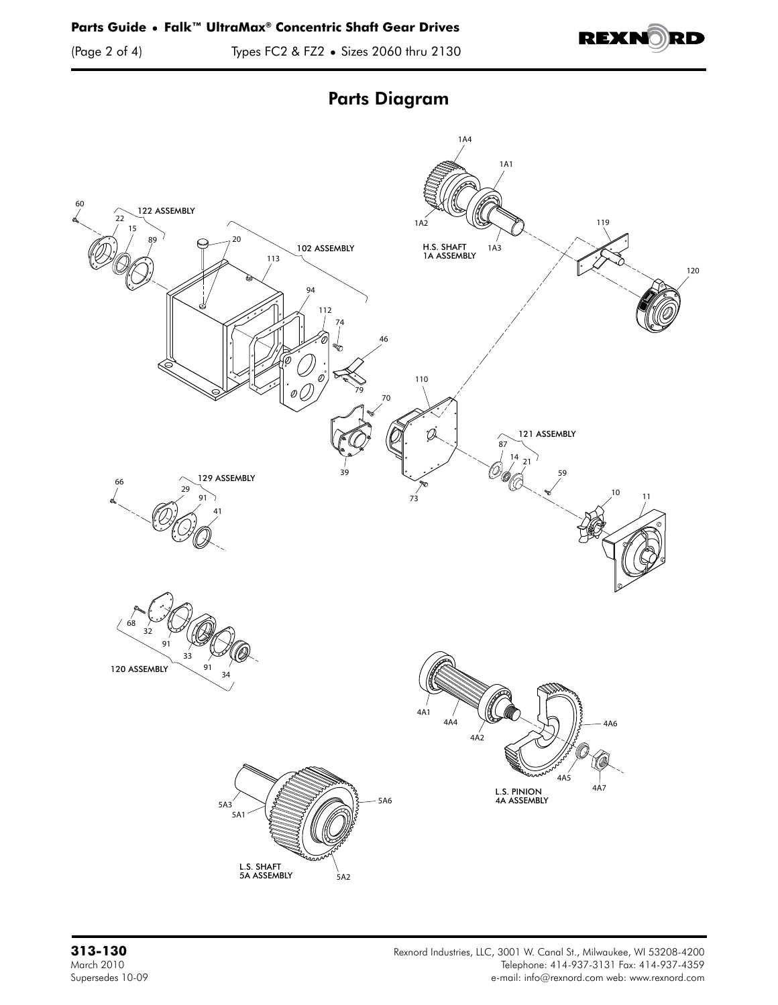(Page 2 of 4) Types FC2 & FZ2 **•** Sizes 2060 thru 2130



Parts Diagram

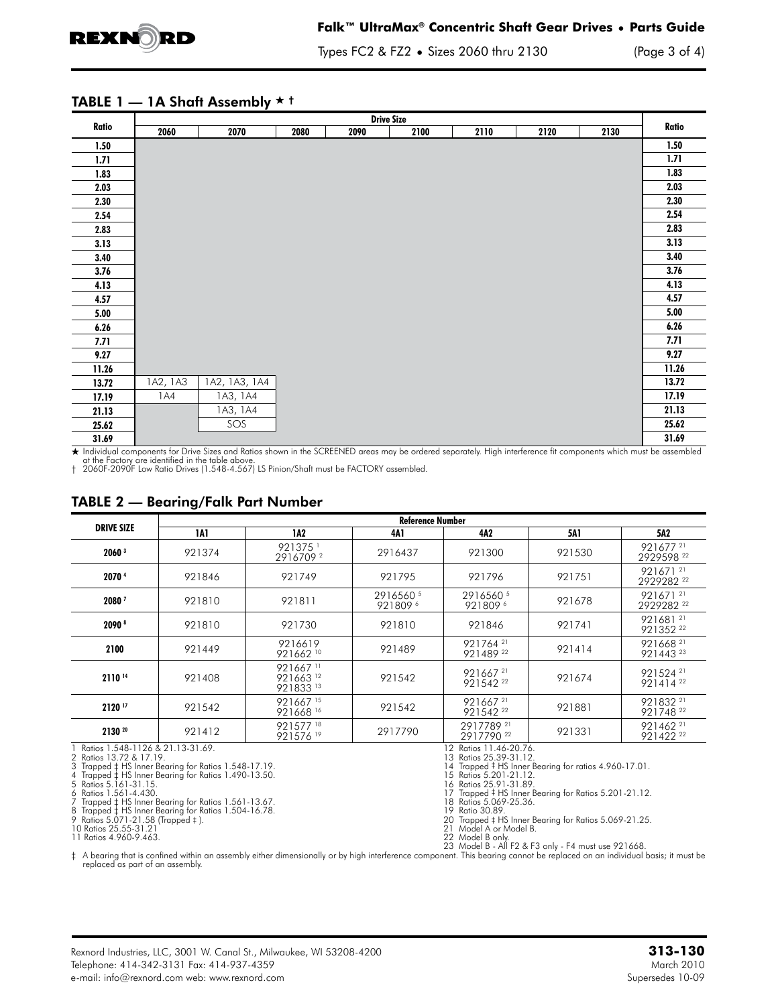

Types FC2 & FZ2 **•** Sizes 2060 thru 2130 (Page 3 of 4)

#### TABLE 1  $-$  1A Shaft Assembly  $\star$  t

| <b>Drive Size</b> |          |               |      |      |      |      |      |      |       |
|-------------------|----------|---------------|------|------|------|------|------|------|-------|
| Ratio             | 2060     | 2070          | 2080 | 2090 | 2100 | 2110 | 2120 | 2130 | Ratio |
| 1.50              |          |               |      |      |      |      |      |      | 1.50  |
| 1.71              |          |               |      |      |      |      |      |      | 1.71  |
| 1.83              |          |               |      |      |      |      |      |      | 1.83  |
| 2.03              |          |               |      |      |      |      |      |      | 2.03  |
| 2.30              |          |               |      |      |      |      |      |      | 2.30  |
| 2.54              |          |               |      |      |      |      |      |      | 2.54  |
| 2.83              |          |               |      |      |      |      |      |      | 2.83  |
| 3.13              |          |               |      |      |      |      |      |      | 3.13  |
| 3.40              |          |               |      |      |      |      |      |      | 3.40  |
| 3.76              |          |               |      |      |      |      |      |      | 3.76  |
| 4.13              |          |               |      |      |      |      |      |      | 4.13  |
| 4.57              |          |               |      |      |      |      |      |      | 4.57  |
| 5.00              |          |               |      |      |      |      |      |      | 5.00  |
| 6.26              |          |               |      |      |      |      |      |      | 6.26  |
| 7.71              |          |               |      |      |      |      |      |      | 7.71  |
| 9.27              |          |               |      |      |      |      |      |      | 9.27  |
| 11.26             |          |               |      |      |      |      |      |      | 11.26 |
| 13.72             | 1A2, 1A3 | 1A2, 1A3, 1A4 |      |      |      |      |      |      | 13.72 |
| 17.19             | 1A4      | 1A3, 1A4      |      |      |      |      |      |      | 17.19 |
| 21.13             |          | 1A3, 1A4      |      |      |      |      |      |      | 21.13 |
| 25.62             |          | SOS           |      |      |      |      |      |      | 25.62 |
| 31.69             |          |               |      |      |      |      |      |      | 31.69 |

+ Individual components for Drive Sizes and Ratios shown in the SCREENED areas may be ordered separately. High interference fit components which must be assembled at the Factory are identified in the table above. † 2060F-2090F Low Ratio Drives (1.548-4.567) LS Pinion/Shaft must be FACTORY assembled.

#### TABLE 2 — Bearing/Falk Part Number

|                                                                                                                              | <b>Reference Number</b> |                                     |                                                                                                           |                                              |        |                                              |  |  |
|------------------------------------------------------------------------------------------------------------------------------|-------------------------|-------------------------------------|-----------------------------------------------------------------------------------------------------------|----------------------------------------------|--------|----------------------------------------------|--|--|
| <b>DRIVE SIZE</b>                                                                                                            | 1A1                     | 1A2                                 | 4A 1                                                                                                      | 4A2                                          | 5A1    | 5A2                                          |  |  |
| 2060 <sup>3</sup>                                                                                                            | 921374                  | 921375<br>29167092                  | 2916437                                                                                                   | 921300                                       | 921530 | 921677 <sup>21</sup><br>2929598 22           |  |  |
| 2070 4                                                                                                                       | 921846                  | 921749                              | 921795                                                                                                    | 921796                                       | 921751 | 921671 <sup>21</sup><br>2929282 22           |  |  |
| 20807                                                                                                                        | 921810                  | 921811                              | 2916560 5<br>9218096                                                                                      | 2916560 5<br>9218096                         | 921678 | 921671 <sup>21</sup><br>2929282 22           |  |  |
| 2090 <sup>8</sup>                                                                                                            | 921810                  | 921730                              | 921810                                                                                                    | 921846                                       | 921741 | 921681 <sup>21</sup><br>921352 22            |  |  |
| 2100                                                                                                                         | 921449                  | 9216619<br>921662 10                | 921489                                                                                                    | 921764 <sup>21</sup><br>92148922             | 921414 | 921668 <sup>21</sup><br>92144323             |  |  |
| 2110 14                                                                                                                      | 921408                  | 921667 11<br>921663 12<br>921833 13 | 921542                                                                                                    | 921667 <sup>21</sup><br>921542 <sup>22</sup> | 921674 | 921524 <sup>21</sup><br>921414 <sup>22</sup> |  |  |
| 2120 17                                                                                                                      | 921542                  | 921667 15<br>921668 16              | 921542                                                                                                    | 921667 <sup>21</sup><br>921542 <sup>22</sup> | 921881 | 921832 <sup>21</sup><br>921748 <sup>22</sup> |  |  |
| 2130 20                                                                                                                      | 921412                  | 92157718<br>921576 19               | 2917790                                                                                                   | 2917789 21<br>2917790 22                     | 921331 | 921462 <sup>21</sup><br>921422 <sup>22</sup> |  |  |
| Ratios 1.548-1126 & 21.13-31.69.<br>2 Ratios 13.72 & 17.19.<br>3 Trapped $\ddagger$ HS Inner Bearing for Ratios 1.548-17.19. |                         |                                     | 12 Ratios 11.46-20.76.<br>13 Ratios 25.39-31.12.<br>14 Trapped # HS Inner Bearing for ratios 4.960-17.01. |                                              |        |                                              |  |  |

4 Trapped ‡ HS Inner Bearing for Ratios 1.490-13.50. 15 Ratios 5.201-21.12. 5 Ratios 5.161-31.15. 16 Ratios 25.91-31.89.

6 Ratios 1.561-4.430. 17 Trapped ‡ HS Inner Bearing for Ratios 5.201-21.12.

7 Trapped ‡ HS Inner Bearing for Ratios 1.561-13.67. 18 Ratios 5.069-25.36. 8 Trapped ‡ HS Inner Bearing for Ratios 1.504-16.78. 19 Ratio 30.89.

9 Ratios 5.071-21.58 (Trapped 4).<br>10 Ratios 25.55-31.21<br>11 Ratios 4.960-9.463.

9 Participan # 15 Inner Bearing for Ratios 5.069-21.25.<br>9 Model A or Model B.<br>9 Model B only. 11 Ratios 4.960-9.463.<br>23 Model B - All F2 & F3 only - F4 must use 921668.<br>replaced as part of an assembly.